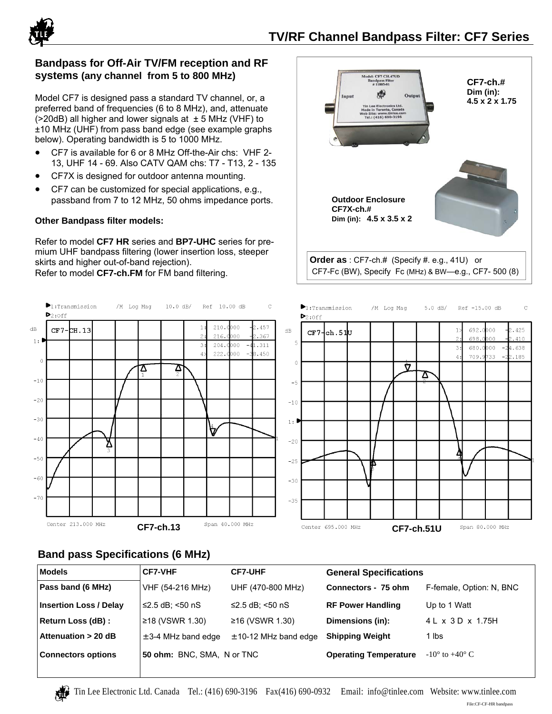

#### **Bandpass for Off-Air TV/FM reception and RF systems (any channel from 5 to 800 MHz)**

Model CF7 is designed pass a standard TV channel, or, a preferred band of frequencies (6 to 8 MHz), and, attenuate  $($ >20dB) all higher and lower signals at  $\pm$  5 MHz (VHF) to ±10 MHz (UHF) from pass band edge (see example graphs below). Operating bandwidth is 5 to 1000 MHz.

- CF7 is available for 6 or 8 MHz Off-the-Air chs: VHF 2- 13, UHF 14 - 69. Also CATV QAM chs: T7 - T13, 2 - 135
- CF7X is designed for outdoor antenna mounting.
- CF7 can be customized for special applications, e.g., passband from 7 to 12 MHz, 50 ohms impedance ports.

#### **Other Bandpass filter models:**

Refer to model **CF7 HR** series and **BP7-UHC** series for premium UHF bandpass filtering (lower insertion loss, steeper skirts and higher out-of-band rejection). Refer to model **CF7-ch.FM** for FM band filtering.



# del: CF7 CH.47UD<br>Bandpass Filter<br>#11805-01 **CF7-ch.# Dim (in):**  娜 Outpr **4.5 x 2 x 1.75**  ics Ltd. eb Site: www.tinlee.co<br>Tel.: (416) 690-3196 **Outdoor Enclosure CF7X-ch.# Dim (in): 4.5 x 3.5 x 2 Order as** : CF7-ch.# (Specify #. e.g., 41U) or

CF7-Fc (BW), Specify Fc (MHz) & BW—e.g., CF7- 500 (8)



## **Band pass Specifications (6 MHz)**

| <b>Models</b>                 | <b>CF7-VHF</b>              | <b>CF7-UHF</b>              | <b>General Specifications</b>                                    |                          |  |
|-------------------------------|-----------------------------|-----------------------------|------------------------------------------------------------------|--------------------------|--|
| Pass band (6 MHz)             | VHF (54-216 MHz)            | UHF (470-800 MHz)           | Connectors - 75 ohm                                              | F-female, Option: N, BNC |  |
| <b>Insertion Loss / Delay</b> | $\leq$ 2.5 dB: $\leq$ 50 nS | $\leq$ 2.5 dB; $\leq$ 50 nS | <b>RF Power Handling</b>                                         | Up to 1 Watt             |  |
| Return Loss (dB) :            | ≥18 (VSWR 1.30)             | ≥16 (VSWR 1.30)             | Dimensions (in):                                                 | 4 L x 3 D x 1.75H        |  |
| Attenuation > 20 dB           | $\pm$ 3-4 MHz band edge     | $\pm$ 10-12 MHz band edge   | <b>Shipping Weight</b>                                           | 1 lbs                    |  |
| <b>Connectors options</b>     | 50 ohm: BNC, SMA, N or TNC  |                             | <b>Operating Temperature</b><br>$-10^{\circ}$ to $+40^{\circ}$ C |                          |  |

Tin Lee Electronic Ltd. Canada Tel.: (416) 690-3196 Fax(416) 690-0932 Email: info@tinlee.com Website: www.tinlee.com File:CF-CF-HR bandpass